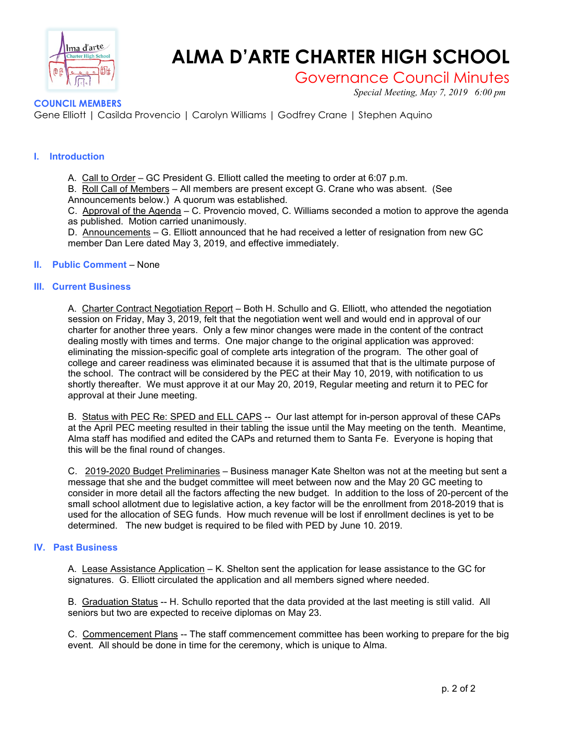

# **ALMA D'ARTE CHARTER HIGH SCHOOL**

# Governance Council Minutes

*Special Meeting, May 7, 2019 6:00 pm*

## **COUNCIL MEMBERS**

Gene Elliott | Casilda Provencio | Carolyn Williams | Godfrey Crane | Stephen Aquino

### **I. Introduction**

A. Call to Order – GC President G. Elliott called the meeting to order at 6:07 p.m. B. Roll Call of Members – All members are present except G. Crane who was absent. (See

Announcements below.) A quorum was established.

C. Approval of the Agenda – C. Provencio moved, C. Williams seconded a motion to approve the agenda as published. Motion carried unanimously.

D. Announcements – G. Elliott announced that he had received a letter of resignation from new GC member Dan Lere dated May 3, 2019, and effective immediately.

#### **II. Public Comment** – None

#### **III. Current Business**

A. Charter Contract Negotiation Report – Both H. Schullo and G. Elliott, who attended the negotiation session on Friday, May 3, 2019, felt that the negotiation went well and would end in approval of our charter for another three years. Only a few minor changes were made in the content of the contract dealing mostly with times and terms. One major change to the original application was approved: eliminating the mission-specific goal of complete arts integration of the program. The other goal of college and career readiness was eliminated because it is assumed that that is the ultimate purpose of the school. The contract will be considered by the PEC at their May 10, 2019, with notification to us shortly thereafter. We must approve it at our May 20, 2019, Regular meeting and return it to PEC for approval at their June meeting.

B. Status with PEC Re: SPED and ELL CAPS -- Our last attempt for in-person approval of these CAPs at the April PEC meeting resulted in their tabling the issue until the May meeting on the tenth. Meantime, Alma staff has modified and edited the CAPs and returned them to Santa Fe. Everyone is hoping that this will be the final round of changes.

C. 2019-2020 Budget Preliminaries – Business manager Kate Shelton was not at the meeting but sent a message that she and the budget committee will meet between now and the May 20 GC meeting to consider in more detail all the factors affecting the new budget. In addition to the loss of 20-percent of the small school allotment due to legislative action, a key factor will be the enrollment from 2018-2019 that is used for the allocation of SEG funds. How much revenue will be lost if enrollment declines is yet to be determined. The new budget is required to be filed with PED by June 10. 2019.

#### **IV. Past Business**

A. Lease Assistance Application – K. Shelton sent the application for lease assistance to the GC for signatures. G. Elliott circulated the application and all members signed where needed.

B. Graduation Status -- H. Schullo reported that the data provided at the last meeting is still valid. All seniors but two are expected to receive diplomas on May 23.

C. Commencement Plans -- The staff commencement committee has been working to prepare for the big event. All should be done in time for the ceremony, which is unique to Alma.